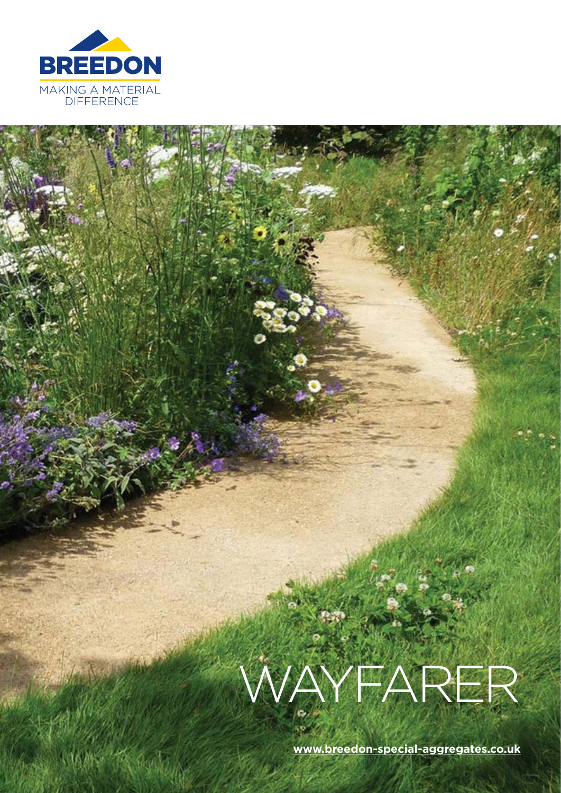

# WAYFARER

ko<sup>2</sup>

**[www.breedon-special-aggregates.co.uk](mailto:www.breedon-special-aggregates.co.uk?subject=)**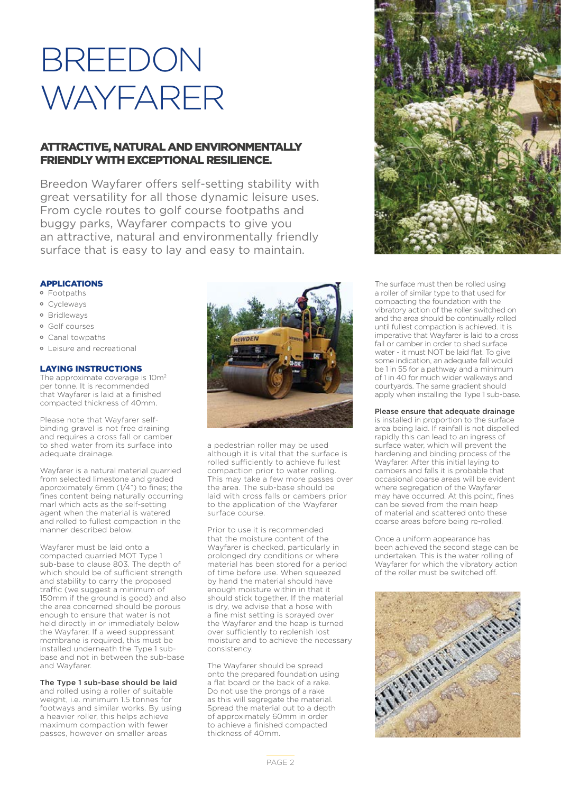## BREEDON WAYFARER

#### ATTRACTIVE, NATURAL AND ENVIRONMENTALLY FRIENDLY WITH EXCEPTIONAL RESILIENCE.

Breedon Wayfarer offers self-setting stability with great versatility for all those dynamic leisure uses. From cycle routes to golf course footpaths and buggy parks, Wayfarer compacts to give you an attractive, natural and environmentally friendly surface that is easy to lay and easy to maintain.

#### APPLICATIONS

- Footpaths
- Cycleways
- Bridleways
- Golf courses
- Canal towpaths
- Leisure and recreational

#### LAYING INSTRUCTIONS

The approximate coverage is 10m<sup>2</sup> per tonne. It is recommended that Wayfarer is laid at a finished compacted thickness of 40mm.

Please note that Wayfarer selfbinding gravel is not free draining and requires a cross fall or camber to shed water from its surface into adequate drainage.

Wayfarer is a natural material quarried from selected limestone and graded approximately 6mm (1/4") to fines; the fines content being naturally occurring marl which acts as the self-setting agent when the material is watered and rolled to fullest compaction in the manner described below.

Wayfarer must be laid onto a compacted quarried MOT Type 1 sub-base to clause 803. The depth of which should be of sufficient strength and stability to carry the proposed traffic (we suggest a minimum of 150mm if the ground is good) and also the area concerned should be porous enough to ensure that water is not held directly in or immediately below the Wayfarer. If a weed suppressant membrane is required, this must be installed underneath the Type 1 subbase and not in between the sub-base and Wayfarer.

The Type 1 sub-base should be laid and rolled using a roller of suitable weight, i.e. minimum 1.5 tonnes for footways and similar works. By using a heavier roller, this helps achieve maximum compaction with fewer passes, however on smaller areas



a pedestrian roller may be used although it is vital that the surface is rolled sufficiently to achieve fullest compaction prior to water rolling. This may take a few more passes over the area. The sub-base should be laid with cross falls or cambers prior to the application of the Wayfarer surface course.

Prior to use it is recommended that the moisture content of the Wayfarer is checked, particularly in prolonged dry conditions or where material has been stored for a period of time before use. When squeezed by hand the material should have enough moisture within in that it should stick together. If the material is dry, we advise that a hose with a fine mist setting is sprayed over the Wayfarer and the heap is turned over sufficiently to replenish lost moisture and to achieve the necessary consistency.

The Wayfarer should be spread onto the prepared foundation using a flat board or the back of a rake. Do not use the prongs of a rake as this will segregate the material. Spread the material out to a depth of approximately 60mm in order to achieve a finished compacted thickness of 40mm.



The surface must then be rolled using a roller of similar type to that used for compacting the foundation with the vibratory action of the roller switched on and the area should be continually rolled until fullest compaction is achieved. It is imperative that Wayfarer is laid to a cross fall or camber in order to shed surface water - it must NOT be laid flat. To give some indication, an adequate fall would be 1 in 55 for a pathway and a minimum of 1 in 40 for much wider walkways and courtyards. The same gradient should apply when installing the Type 1 sub-base.

Please ensure that adequate drainage

is installed in proportion to the surface area being laid. If rainfall is not dispelled rapidly this can lead to an ingress of surface water, which will prevent the hardening and binding process of the Wayfarer. After this initial laying to cambers and falls it is probable that occasional coarse areas will be evident where segregation of the Wayfarer may have occurred. At this point, fines can be sieved from the main heap of material and scattered onto these coarse areas before being re-rolled.

Once a uniform appearance has been achieved the second stage can be undertaken. This is the water rolling of Wayfarer for which the vibratory action of the roller must be switched off.

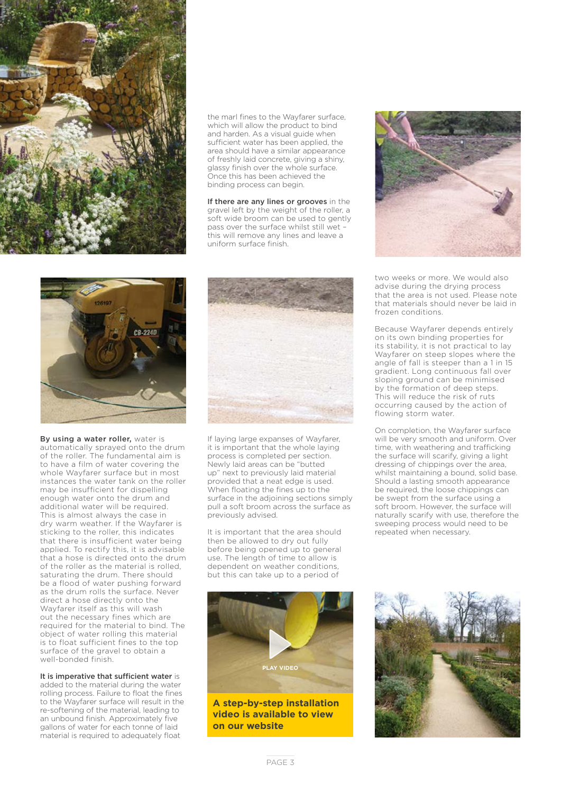

the marl fines to the Wayfarer surface, which will allow the product to bind and harden. As a visual guide when sufficient water has been applied, the area should have a similar appearance of freshly laid concrete, giving a shiny, glassy finish over the whole surface. Once this has been achieved the binding process can begin.

If there are any lines or grooves in the gravel left by the weight of the roller, a soft wide broom can be used to gently pass over the surface whilst still wet – this will remove any lines and leave a uniform surface finish.



By using a water roller, water is automatically sprayed onto the drum of the roller. The fundamental aim is to have a film of water covering the whole Wayfarer surface but in most instances the water tank on the roller may be insufficient for dispelling enough water onto the drum and additional water will be required. This is almost always the case in dry warm weather. If the Wayfarer is sticking to the roller, this indicates that there is insufficient water being applied. To rectify this, it is advisable that a hose is directed onto the drum of the roller as the material is rolled, saturating the drum. There should be a flood of water pushing forward as the drum rolls the surface. Never direct a hose directly onto the Wayfarer itself as this will wash out the necessary fines which are required for the material to bind. The object of water rolling this material is to float sufficient fines to the top surface of the gravel to obtain a well-bonded finish.

It is imperative that sufficient water is added to the material during the water rolling process. Failure to float the fines to the Wayfarer surface will result in the re-softening of the material, leading to an unbound finish. Approximately five gallons of water for each tonne of laid material is required to adequately float



If laying large expanses of Wayfarer, it is important that the whole laying process is completed per section. Newly laid areas can be "butted up" next to previously laid material provided that a neat edge is used. When floating the fines up to the surface in the adjoining sections simply pull a soft broom across the surface as previously advised.

It is important that the area should then be allowed to dry out fully before being opened up to general use. The length of time to allow is dependent on weather conditions, but this can take up to a period of



**A step-by-step installation video is available to view on our website**



two weeks or more. We would also advise during the drying process that the area is not used. Please note that materials should never be laid in frozen conditions.

Because Wayfarer depends entirely on its own binding properties for its stability, it is not practical to lay Wayfarer on steep slopes where the angle of fall is steeper than a 1 in 15 gradient. Long continuous fall over sloping ground can be minimised by the formation of deep steps. This will reduce the risk of ruts occurring caused by the action of flowing storm water.

On completion, the Wayfarer surface will be very smooth and uniform. Over time, with weathering and trafficking the surface will scarify, giving a light dressing of chippings over the area, whilst maintaining a bound, solid base. Should a lasting smooth appearance be required, the loose chippings can be swept from the surface using a soft broom. However, the surface will naturally scarify with use, therefore the sweeping process would need to be repeated when necessary.

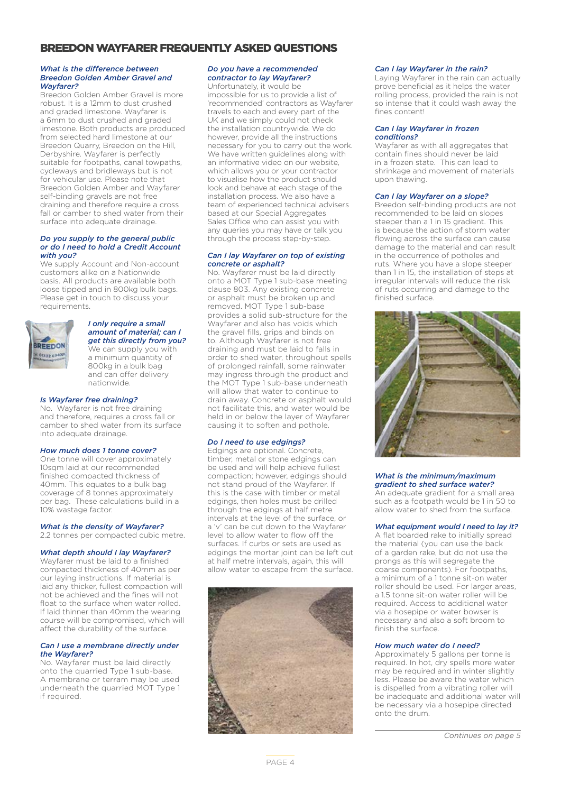#### BREEDON WAYFARER FREQUENTLY ASKED QUESTIONS

#### *What is the difference between Breedon Golden Amber Gravel and Wayfarer?*

Breedon Golden Amber Gravel is more robust. It is a 12mm to dust crushed and graded limestone. Wayfarer is a 6mm to dust crushed and graded limestone. Both products are produced from selected hard limestone at our Breedon Quarry, Breedon on the Hill, Derbyshire. Wayfarer is perfectly suitable for footpaths, canal towpaths, cycleways and bridleways but is not for vehicular use. Please note that Breedon Golden Amber and Wayfarer self-binding gravels are not free draining and therefore require a cross fall or camber to shed water from their surface into adequate drainage.

#### *Do you supply to the general public or do I need to hold a Credit Account with you?*

We supply Account and Non-account customers alike on a Nationwide basis. All products are available both loose tipped and in 800kg bulk bags. Please get in touch to discuss your requirements.



#### *I only require a small amount of material; can I get this directly from you?* We can supply you with a minimum quantity of 800kg in a bulk bag and can offer delivery

*Is Wayfarer free draining?*

No. Wayfarer is not free draining and therefore, requires a cross fall or camber to shed water from its surface into adequate drainage.

nationwide.

#### *How much does 1 tonne cover?*

One tonne will cover approximately 10sqm laid at our recommended finished compacted thickness of 40mm. This equates to a bulk bag coverage of 8 tonnes approximately per bag. These calculations build in a 10% wastage factor.

#### *What is the density of Wayfarer?*

2.2 tonnes per compacted cubic metre.

#### *What depth should I lay Wayfarer?*

Wayfarer must be laid to a finished compacted thickness of 40mm as per our laying instructions. If material is laid any thicker, fullest compaction will not be achieved and the fines will not float to the surface when water rolled. If laid thinner than 40mm the wearing course will be compromised, which will affect the durability of the surface.

#### *Can I use a membrane directly under the Wayfarer?*

No. Wayfarer must be laid directly onto the quarried Type 1 sub-base. A membrane or terram may be used underneath the quarried MOT Type 1 if required.

#### *Do you have a recommended contractor to lay Wayfarer?*

Unfortunately, it would be impossible for us to provide a list of 'recommended' contractors as Wayfarer travels to each and every part of the UK and we simply could not check the installation countrywide. We do however, provide all the instructions necessary for you to carry out the work. We have written guidelines along with an informative video on our website, which allows you or your contractor to visualise how the product should look and behave at each stage of the installation process. We also have a team of experienced technical advisers based at our Special Aggregates Sales Office who can assist you with any queries you may have or talk you through the process step-by-step.

#### *Can I lay Wayfarer on top of existing concrete or asphalt?*

No. Wayfarer must be laid directly onto a MOT Type 1 sub-base meeting clause 803. Any existing concrete or asphalt must be broken up and removed. MOT Type 1 sub-base provides a solid sub-structure for the Wayfarer and also has voids which the gravel fills, grips and binds on to. Although Wayfarer is not free draining and must be laid to falls in order to shed water, throughout spells of prolonged rainfall, some rainwater may ingress through the product and the MOT Type 1 sub-base underneath will allow that water to continue to drain away. Concrete or asphalt would not facilitate this, and water would be held in or below the layer of Wayfarer causing it to soften and pothole.

#### *Do I need to use edgings?*

Edgings are optional. Concrete, timber, metal or stone edgings can be used and will help achieve fullest compaction; however, edgings should not stand proud of the Wayfarer. If this is the case with timber or metal edgings, then holes must be drilled through the edgings at half metre intervals at the level of the surface, or a 'v' can be cut down to the Wayfarer level to allow water to flow off the surfaces. If curbs or sets are used as edgings the mortar joint can be left out at half metre intervals, again, this will allow water to escape from the surface.



#### *Can I lay Wayfarer in the rain?*

Laying Wayfarer in the rain can actually prove beneficial as it helps the water rolling process, provided the rain is not so intense that it could wash away the fines content!

#### *Can I lay Wayfarer in frozen conditions?*

Wayfarer as with all aggregates that contain fines should never be laid in a frozen state. This can lead to shrinkage and movement of materials upon thawing.

#### *Can I lay Wayfarer on a slope?*

Breedon self-binding products are not recommended to be laid on slopes steeper than a 1 in 15 gradient. This is because the action of storm water flowing across the surface can cause damage to the material and can result in the occurrence of potholes and ruts. Where you have a slope steeper than 1 in 15, the installation of steps at irregular intervals will reduce the risk of ruts occurring and damage to the finished surface.



#### *What is the minimum/maximum gradient to shed surface water?*

An adequate gradient for a small area such as a footpath would be 1 in 50 to allow water to shed from the surface.

#### *What equipment would I need to lay it?*

A flat boarded rake to initially spread the material (you can use the back of a garden rake, but do not use the prongs as this will segregate the coarse components). For footpaths, a minimum of a 1 tonne sit-on water roller should be used. For larger areas, a 1.5 tonne sit-on water roller will be required. Access to additional water via a hosepipe or water bowser is necessary and also a soft broom to finish the surface.

#### *How much water do I need?*

Approximately 5 gallons per tonne is required. In hot, dry spells more water may be required and in winter slightly less. Please be aware the water which is dispelled from a vibrating roller will be inadequate and additional water will be necessary via a hosepipe directed onto the drum.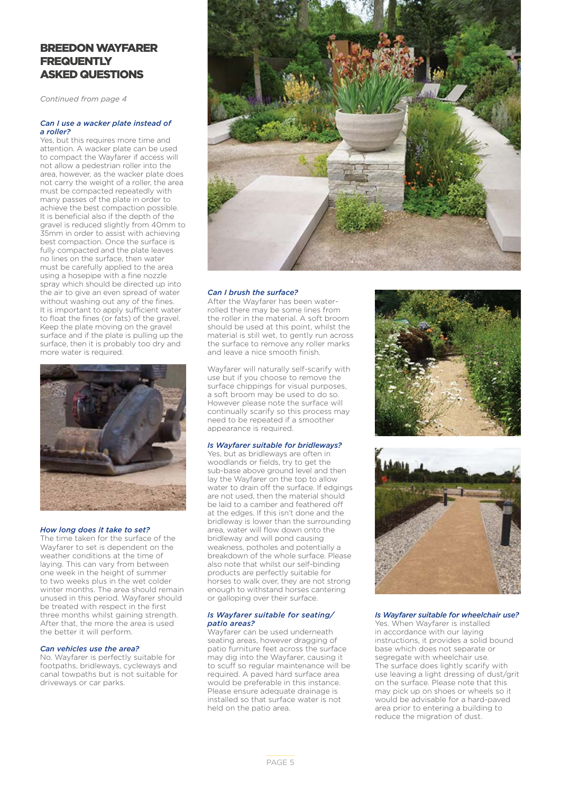#### BREEDON WAYFARER **FREQUENTLY** ASKED QUESTIONS

*Continued from page 4*

#### *Can I use a wacker plate instead of a roller?*

Yes, but this requires more time and attention. A wacker plate can be used to compact the Wayfarer if access will not allow a pedestrian roller into the area, however, as the wacker plate does not carry the weight of a roller, the area must be compacted repeatedly with many passes of the plate in order to achieve the best compaction possible. It is beneficial also if the depth of the gravel is reduced slightly from 40mm to 35mm in order to assist with achieving best compaction. Once the surface is fully compacted and the plate leaves no lines on the surface, then water must be carefully applied to the area using a hosepipe with a fine nozzle spray which should be directed up into the air to give an even spread of water without washing out any of the fines. It is important to apply sufficient water to float the fines (or fats) of the gravel. Keep the plate moving on the gravel surface and if the plate is pulling up the surface, then it is probably too dry and more water is required.



#### *How long does it take to set?*

The time taken for the surface of the Wayfarer to set is dependent on the weather conditions at the time of laying. This can vary from between one week in the height of summer to two weeks plus in the wet colder winter months. The area should remain unused in this period. Wayfarer should be treated with respect in the first three months whilst gaining strength. After that, the more the area is used the better it will perform.

#### *Can vehicles use the area?*

No. Wayfarer is perfectly suitable for footpaths, bridleways, cycleways and canal towpaths but is not suitable for driveways or car parks.



#### *Can I brush the surface?*

After the Wayfarer has been waterrolled there may be some lines from the roller in the material. A soft broom should be used at this point, whilst the material is still wet, to gently run across the surface to remove any roller marks and leave a nice smooth finish.

Wayfarer will naturally self-scarify with use but if you choose to remove the surface chippings for visual purposes, a soft broom may be used to do so. However please note the surface will continually scarify so this process may need to be repeated if a smoother appearance is required.

#### *Is Wayfarer suitable for bridleways?*

Yes, but as bridleways are often in woodlands or fields, try to get the sub-base above ground level and then lay the Wayfarer on the top to allow water to drain off the surface. If edgings are not used, then the material should be laid to a camber and feathered off at the edges. If this isn't done and the bridleway is lower than the surrounding area, water will flow down onto the bridleway and will pond causing weakness, potholes and potentially a breakdown of the whole surface. Please also note that whilst our self-binding products are perfectly suitable for horses to walk over, they are not strong enough to withstand horses cantering or galloping over their surface.

#### *Is Wayfarer suitable for seating/ patio areas?*

.<br>Wayfarer can be used underneath seating areas, however dragging of patio furniture feet across the surface may dig into the Wayfarer, causing it to scuff so regular maintenance will be required. A paved hard surface area would be preferable in this instance. Please ensure adequate drainage is installed so that surface water is not held on the patio area.





#### *Is Wayfarer suitable for wheelchair use?*

Yes. When Wayfarer is installed in accordance with our laying instructions, it provides a solid bound base which does not separate or segregate with wheelchair use. The surface does lightly scarify with use leaving a light dressing of dust/grit on the surface. Please note that this may pick up on shoes or wheels so it would be advisable for a hard-paved area prior to entering a building to reduce the migration of dust.